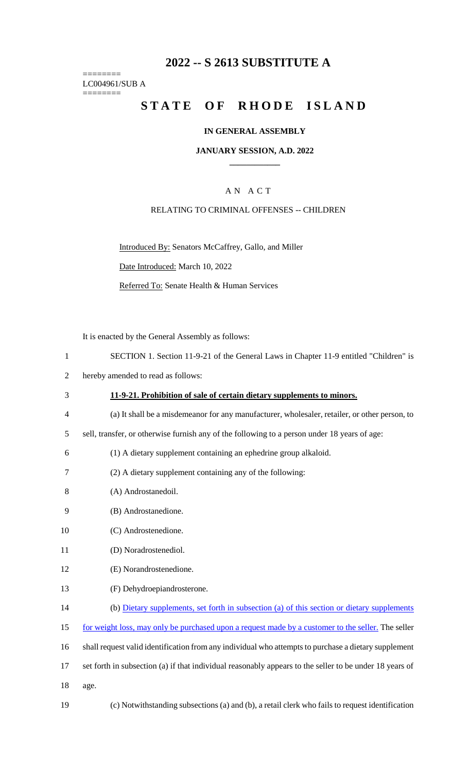## **2022 -- S 2613 SUBSTITUTE A**

======== LC004961/SUB A ========

# **STATE OF RHODE ISLAND**

#### **IN GENERAL ASSEMBLY**

### **JANUARY SESSION, A.D. 2022 \_\_\_\_\_\_\_\_\_\_\_\_**

## A N A C T

#### RELATING TO CRIMINAL OFFENSES -- CHILDREN

Introduced By: Senators McCaffrey, Gallo, and Miller

Date Introduced: March 10, 2022

Referred To: Senate Health & Human Services

It is enacted by the General Assembly as follows:

- 1 SECTION 1. Section 11-9-21 of the General Laws in Chapter 11-9 entitled "Children" is
- 2 hereby amended to read as follows:
- 3 **11-9-21. Prohibition of sale of certain dietary supplements to minors.**
- 4 (a) It shall be a misdemeanor for any manufacturer, wholesaler, retailer, or other person, to
- 5 sell, transfer, or otherwise furnish any of the following to a person under 18 years of age:
- 6 (1) A dietary supplement containing an ephedrine group alkaloid.
- 7 (2) A dietary supplement containing any of the following:
- 8 (A) Androstanedoil.
- 9 (B) Androstanedione.
- 10 (C) Androstenedione.
- 11 (D) Noradrostenediol.
- 12 (E) Norandrostenedione.
- 13 (F) Dehydroepiandrosterone.
- 14 (b) Dietary supplements, set forth in subsection (a) of this section or dietary supplements
- 15 for weight loss, may only be purchased upon a request made by a customer to the seller. The seller
- 16 shall request valid identification from any individual who attempts to purchase a dietary supplement
- 17 set forth in subsection (a) if that individual reasonably appears to the seller to be under 18 years of
- 18 age.
- 19 (c) Notwithstanding subsections (a) and (b), a retail clerk who fails to request identification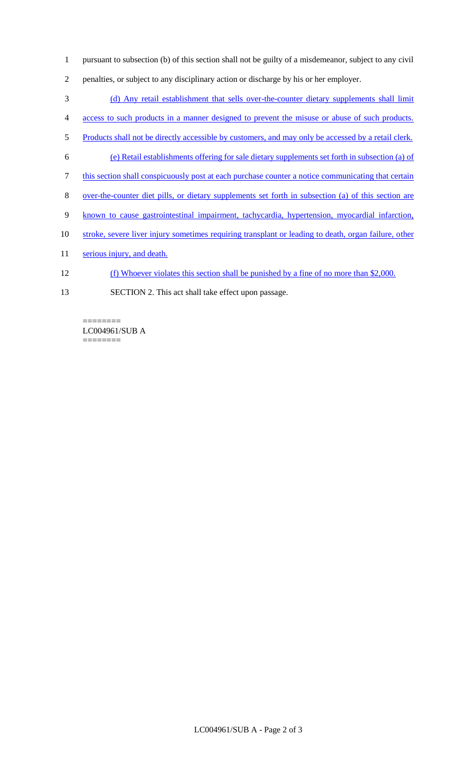- 1 pursuant to subsection (b) of this section shall not be guilty of a misdemeanor, subject to any civil
- 2 penalties, or subject to any disciplinary action or discharge by his or her employer.
- 3 (d) Any retail establishment that sells over-the-counter dietary supplements shall limit
- 4 access to such products in a manner designed to prevent the misuse or abuse of such products.
- 5 Products shall not be directly accessible by customers, and may only be accessed by a retail clerk.
- 6 (e) Retail establishments offering for sale dietary supplements set forth in subsection (a) of
- 7 this section shall conspicuously post at each purchase counter a notice communicating that certain
- 8 over-the-counter diet pills, or dietary supplements set forth in subsection (a) of this section are
- 9 known to cause gastrointestinal impairment, tachycardia, hypertension, myocardial infarction,
- 10 stroke, severe liver injury sometimes requiring transplant or leading to death, organ failure, other
- 11 serious injury, and death.
- 12 (f) Whoever violates this section shall be punished by a fine of no more than \$2,000.
- 13 SECTION 2. This act shall take effect upon passage.

======== LC004961/SUB A ========